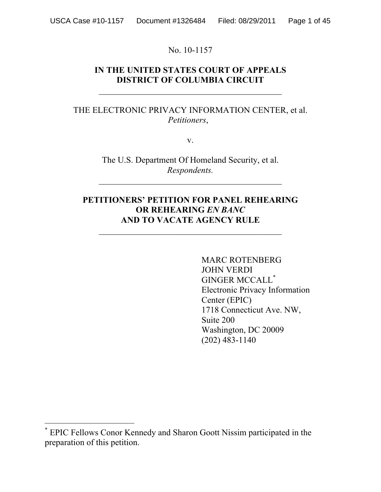No. 10-1157

## **IN THE UNITED STATES COURT OF APPEALS DISTRICT OF COLUMBIA CIRCUIT**

 $\mathcal{L}_\text{max}$ 

## THE ELECTRONIC PRIVACY INFORMATION CENTER, et al. *Petitioners*,

v.

The U.S. Department Of Homeland Security, et al. *Respondents.*

 $\mathcal{L}_\text{max}$  , and the contract of the contract of the contract of the contract of the contract of the contract of the contract of the contract of the contract of the contract of the contract of the contract of the contr

## **PETITIONERS' PETITION FOR PANEL REHEARING OR REHEARING** *EN BANC* **AND TO VACATE AGENCY RULE**

MARC ROTENBERG JOHN VERDI GINGER MCCALL<sup>\*</sup> Electronic Privacy Information Center (EPIC) 1718 Connecticut Ave. NW, Suite 200 Washington, DC 20009 (202) 483-1140

 <sup>\*</sup> EPIC Fellows Conor Kennedy and Sharon Goott Nissim participated in the preparation of this petition.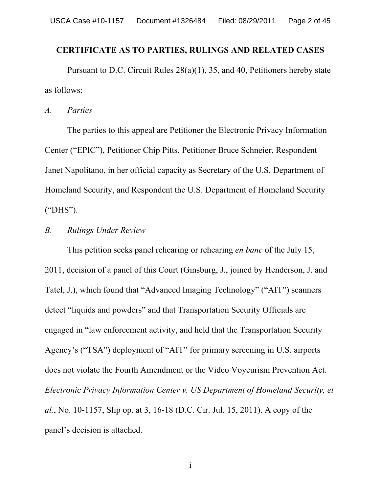### **CERTIFICATE AS TO PARTIES, RULINGS AND RELATED CASES**

Pursuant to D.C. Circuit Rules 28(a)(1), 35, and 40, Petitioners hereby state as follows:

*A. Parties*

The parties to this appeal are Petitioner the Electronic Privacy Information Center ("EPIC"), Petitioner Chip Pitts, Petitioner Bruce Schneier, Respondent Janet Napolitano, in her official capacity as Secretary of the U.S. Department of Homeland Security, and Respondent the U.S. Department of Homeland Security ("DHS").

## *B. Rulings Under Review*

This petition seeks panel rehearing or rehearing *en banc* of the July 15, 2011, decision of a panel of this Court (Ginsburg, J., joined by Henderson, J. and Tatel, J.), which found that "Advanced Imaging Technology" ("AIT") scanners detect "liquids and powders" and that Transportation Security Officials are engaged in "law enforcement activity, and held that the Transportation Security Agency's ("TSA") deployment of "AIT" for primary screening in U.S. airports does not violate the Fourth Amendment or the Video Voyeurism Prevention Act. *Electronic Privacy Information Center v. US Department of Homeland Security, et al.*, No. 10-1157, Slip op. at 3, 16-18 (D.C. Cir. Jul. 15, 2011). A copy of the panel's decision is attached.

i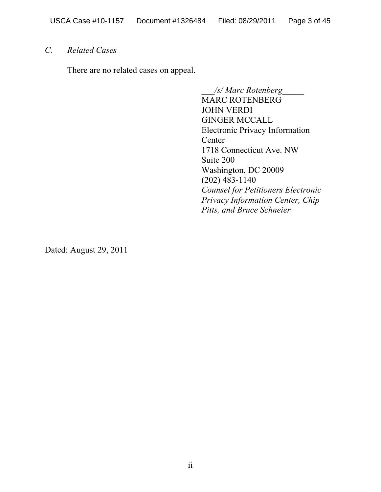## *C. Related Cases*

There are no related cases on appeal.

\_\_\_*/s/ Marc Rotenberg*\_\_\_\_\_

MARC ROTENBERG JOHN VERDI GINGER MCCALL Electronic Privacy Information Center 1718 Connecticut Ave. NW Suite 200 Washington, DC 20009 (202) 483-1140 *Counsel for Petitioners Electronic Privacy Information Center, Chip Pitts, and Bruce Schneier*

Dated: August 29, 2011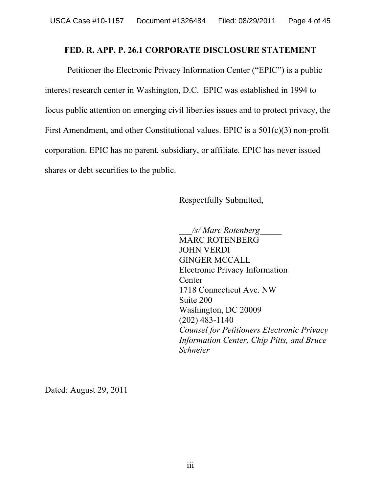## **FED. R. APP. P. 26.1 CORPORATE DISCLOSURE STATEMENT**

Petitioner the Electronic Privacy Information Center ("EPIC") is a public interest research center in Washington, D.C. EPIC was established in 1994 to focus public attention on emerging civil liberties issues and to protect privacy, the First Amendment, and other Constitutional values. EPIC is a 501(c)(3) non-profit corporation. EPIC has no parent, subsidiary, or affiliate. EPIC has never issued shares or debt securities to the public.

Respectfully Submitted,

\_\_\_*/s/ Marc Rotenberg*\_\_\_\_\_ MARC ROTENBERG JOHN VERDI GINGER MCCALL Electronic Privacy Information Center 1718 Connecticut Ave. NW Suite 200 Washington, DC 20009 (202) 483-1140 *Counsel for Petitioners Electronic Privacy Information Center, Chip Pitts, and Bruce Schneier*

Dated: August 29, 2011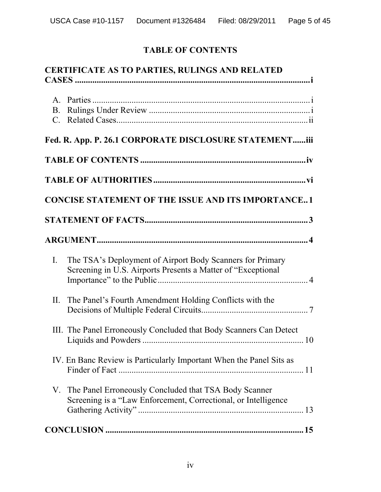# **TABLE OF CONTENTS**

| <b>CERTIFICATE AS TO PARTIES, RULINGS AND RELATED</b>                                                                                       |
|---------------------------------------------------------------------------------------------------------------------------------------------|
| $B_{\cdot}$                                                                                                                                 |
| Fed. R. App. P. 26.1 CORPORATE DISCLOSURE STATEMENTiii                                                                                      |
|                                                                                                                                             |
|                                                                                                                                             |
| <b>CONCISE STATEMENT OF THE ISSUE AND ITS IMPORTANCE1</b>                                                                                   |
|                                                                                                                                             |
|                                                                                                                                             |
| The TSA's Deployment of Airport Body Scanners for Primary<br>$\mathbf{I}$ .<br>Screening in U.S. Airports Presents a Matter of "Exceptional |
| The Panel's Fourth Amendment Holding Conflicts with the<br>II.                                                                              |
| III. The Panel Erroneously Concluded that Body Scanners Can Detect                                                                          |
| IV. En Banc Review is Particularly Important When the Panel Sits as                                                                         |
| V. The Panel Erroneously Concluded that TSA Body Scanner<br>Screening is a "Law Enforcement, Correctional, or Intelligence                  |
|                                                                                                                                             |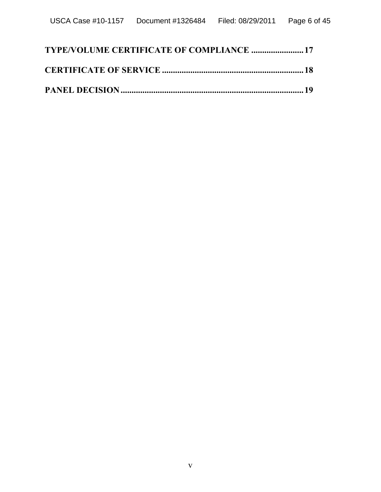| TYPE/VOLUME CERTIFICATE OF COMPLIANCE  17 |  |
|-------------------------------------------|--|
|                                           |  |
|                                           |  |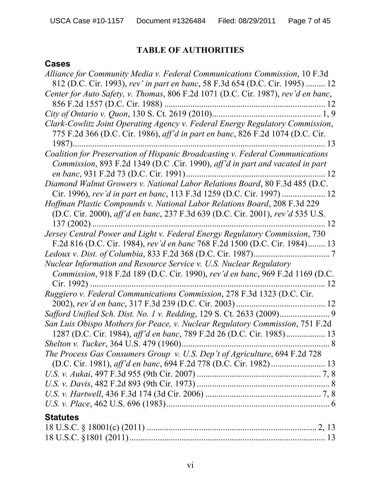# **TABLE OF AUTHORITIES**

## **Cases**

| Alliance for Community Media v. Federal Communications Commission, 10 F.3d<br>812 (D.C. Cir. 1993), rev' in part en banc, 58 F.3d 654 (D.C. Cir. 1995)  12                       |
|----------------------------------------------------------------------------------------------------------------------------------------------------------------------------------|
| Center for Auto Safety, v. Thomas, 806 F.2d 1071 (D.C. Cir. 1987), rev'd en banc,                                                                                                |
|                                                                                                                                                                                  |
| Clark-Cowlitz Joint Operating Agency v. Federal Energy Regulatory Commission,<br>775 F.2d 366 (D.C. Cir. 1986), aff'd in part en banc, 826 F.2d 1074 (D.C. Cir.<br>$1987)$<br>13 |
| Coalition for Preservation of Hispanic Broadcasting v. Federal Communications                                                                                                    |
| Commission, 893 F.2d 1349 (D.C .Cir. 1990), aff'd in part and vacated in part                                                                                                    |
| en banc, 931 F.2d 73 (D.C. Cir. 1991)                                                                                                                                            |
| Diamond Walnut Growers v. National Labor Relations Board, 80 F.3d 485 (D.C.<br>Cir. 1996), rev'd in part en banc, 113 F.3d 1259 (D.C. Cir. 1997)  12                             |
| Hoffman Plastic Compounds v. National Labor Relations Board, 208 F.3d 229                                                                                                        |
| (D.C. Cir. 2000), aff'd en banc, 237 F.3d 639 (D.C. Cir. 2001), rev'd 535 U.S.                                                                                                   |
| 12                                                                                                                                                                               |
| Jersey Central Power and Light v. Federal Energy Regulatory Commission, 730                                                                                                      |
| F.2d 816 (D.C. Cir. 1984), rev'd en banc 768 F.2d 1500 (D.C. Cir. 1984) 13                                                                                                       |
|                                                                                                                                                                                  |
| Nuclear Information and Resource Service v. U.S. Nuclear Regulatory                                                                                                              |
| Commission, 918 F.2d 189 (D.C. Cir. 1990), rev'd en banc, 969 F.2d 1169 (D.C.                                                                                                    |
| 12                                                                                                                                                                               |
| Ruggiero v. Federal Communications Commission, 278 F.3d 1323 (D.C. Cir.                                                                                                          |
|                                                                                                                                                                                  |
|                                                                                                                                                                                  |
| San Luis Obispo Mothers for Peace, v. Nuclear Regulatory Commission, 751 F.2d                                                                                                    |
| 1287 (D.C. Cir. 1984), aff'd en banc, 789 F.2d 26 (D.C. Cir. 1985) 13                                                                                                            |
| Shelton v. Tucker, 364 U.S. 479 (1960).<br>8                                                                                                                                     |
| The Process Gas Consumers Group v. U.S. Dep't of Agriculture, 694 F.2d 728                                                                                                       |
|                                                                                                                                                                                  |
|                                                                                                                                                                                  |
|                                                                                                                                                                                  |
|                                                                                                                                                                                  |
|                                                                                                                                                                                  |
| <b>Statutes</b>                                                                                                                                                                  |
|                                                                                                                                                                                  |
|                                                                                                                                                                                  |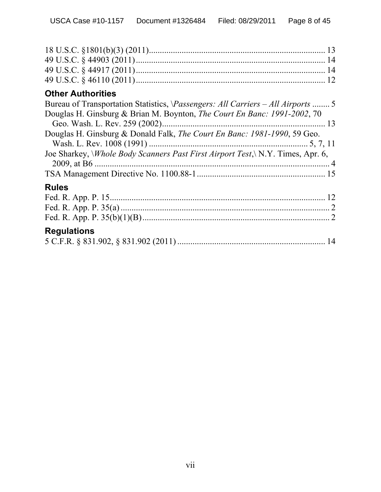| <b>Other Authorities</b>                                                                     |
|----------------------------------------------------------------------------------------------|
| Bureau of Transportation Statistics, <i>\Passengers: All Carriers – All Airports</i> 5       |
| Douglas H. Ginsburg & Brian M. Boynton, <i>The Court En Banc: 1991-2002</i> , 70             |
|                                                                                              |
| Douglas H. Ginsburg & Donald Falk, The Court En Banc: 1981-1990, 59 Geo.                     |
|                                                                                              |
| Joe Sharkey, <i>Whole Body Scanners Past First Airport Test</i> , <i>N.Y. Times, Apr. 6,</i> |
|                                                                                              |
|                                                                                              |
| <b>Rules</b>                                                                                 |
|                                                                                              |
|                                                                                              |
|                                                                                              |
| <b>Regulations</b>                                                                           |
|                                                                                              |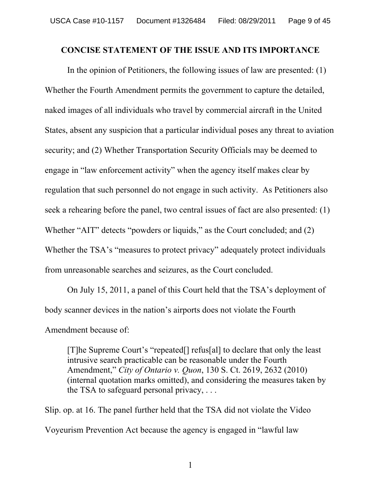### **CONCISE STATEMENT OF THE ISSUE AND ITS IMPORTANCE**

In the opinion of Petitioners, the following issues of law are presented: (1) Whether the Fourth Amendment permits the government to capture the detailed, naked images of all individuals who travel by commercial aircraft in the United States, absent any suspicion that a particular individual poses any threat to aviation security; and (2) Whether Transportation Security Officials may be deemed to engage in "law enforcement activity" when the agency itself makes clear by regulation that such personnel do not engage in such activity. As Petitioners also seek a rehearing before the panel, two central issues of fact are also presented: (1) Whether "AIT" detects "powders or liquids," as the Court concluded; and (2) Whether the TSA's "measures to protect privacy" adequately protect individuals from unreasonable searches and seizures, as the Court concluded.

On July 15, 2011, a panel of this Court held that the TSA's deployment of body scanner devices in the nation's airports does not violate the Fourth Amendment because of:

[T]he Supreme Court's "repeated[] refus[al] to declare that only the least intrusive search practicable can be reasonable under the Fourth Amendment," *City of Ontario v. Quon*, 130 S. Ct. 2619, 2632 (2010) (internal quotation marks omitted), and considering the measures taken by the TSA to safeguard personal privacy, . . .

Slip. op. at 16. The panel further held that the TSA did not violate the Video Voyeurism Prevention Act because the agency is engaged in "lawful law

1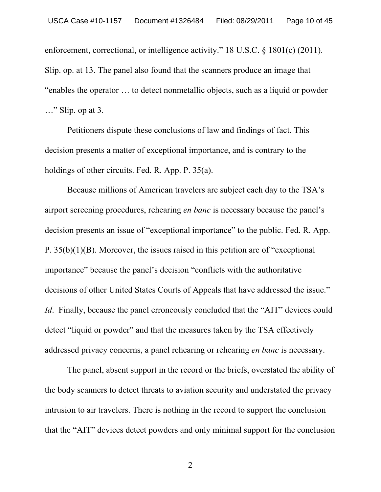enforcement, correctional, or intelligence activity." 18 U.S.C. § 1801(c) (2011). Slip. op. at 13. The panel also found that the scanners produce an image that "enables the operator … to detect nonmetallic objects, such as a liquid or powder …" Slip. op at 3.

Petitioners dispute these conclusions of law and findings of fact. This decision presents a matter of exceptional importance, and is contrary to the holdings of other circuits. Fed. R. App. P. 35(a).

Because millions of American travelers are subject each day to the TSA's airport screening procedures, rehearing *en banc* is necessary because the panel's decision presents an issue of "exceptional importance" to the public. Fed. R. App. P. 35(b)(1)(B). Moreover, the issues raised in this petition are of "exceptional importance" because the panel's decision "conflicts with the authoritative decisions of other United States Courts of Appeals that have addressed the issue." *Id.* Finally, because the panel erroneously concluded that the "AIT" devices could detect "liquid or powder" and that the measures taken by the TSA effectively addressed privacy concerns, a panel rehearing or rehearing *en banc* is necessary.

The panel, absent support in the record or the briefs, overstated the ability of the body scanners to detect threats to aviation security and understated the privacy intrusion to air travelers. There is nothing in the record to support the conclusion that the "AIT" devices detect powders and only minimal support for the conclusion

2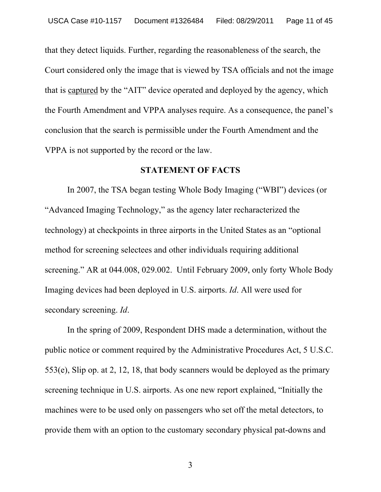that they detect liquids. Further, regarding the reasonableness of the search, the Court considered only the image that is viewed by TSA officials and not the image that is captured by the "AIT" device operated and deployed by the agency, which the Fourth Amendment and VPPA analyses require. As a consequence, the panel's conclusion that the search is permissible under the Fourth Amendment and the VPPA is not supported by the record or the law.

### **STATEMENT OF FACTS**

In 2007, the TSA began testing Whole Body Imaging ("WBI") devices (or "Advanced Imaging Technology," as the agency later recharacterized the technology) at checkpoints in three airports in the United States as an "optional method for screening selectees and other individuals requiring additional screening." AR at 044.008, 029.002. Until February 2009, only forty Whole Body Imaging devices had been deployed in U.S. airports. *Id*. All were used for secondary screening. *Id*.

In the spring of 2009, Respondent DHS made a determination, without the public notice or comment required by the Administrative Procedures Act, 5 U.S.C. 553(e), Slip op. at 2, 12, 18, that body scanners would be deployed as the primary screening technique in U.S. airports. As one new report explained, "Initially the machines were to be used only on passengers who set off the metal detectors, to provide them with an option to the customary secondary physical pat-downs and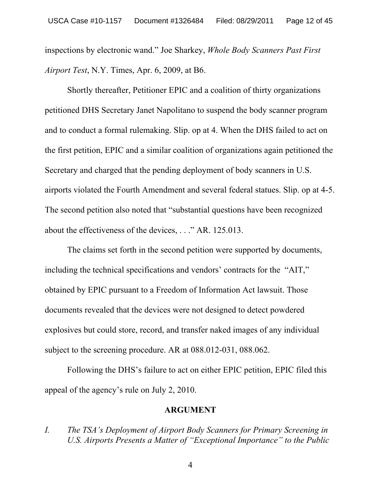inspections by electronic wand." Joe Sharkey, *Whole Body Scanners Past First Airport Test*, N.Y. Times, Apr. 6, 2009, at B6.

Shortly thereafter, Petitioner EPIC and a coalition of thirty organizations petitioned DHS Secretary Janet Napolitano to suspend the body scanner program and to conduct a formal rulemaking. Slip. op at 4. When the DHS failed to act on the first petition, EPIC and a similar coalition of organizations again petitioned the Secretary and charged that the pending deployment of body scanners in U.S. airports violated the Fourth Amendment and several federal statues. Slip. op at 4-5. The second petition also noted that "substantial questions have been recognized about the effectiveness of the devices, . . ." AR. 125.013.

The claims set forth in the second petition were supported by documents, including the technical specifications and vendors' contracts for the "AIT," obtained by EPIC pursuant to a Freedom of Information Act lawsuit. Those documents revealed that the devices were not designed to detect powdered explosives but could store, record, and transfer naked images of any individual subject to the screening procedure. AR at 088.012-031, 088.062.

Following the DHS's failure to act on either EPIC petition, EPIC filed this appeal of the agency's rule on July 2, 2010.

### **ARGUMENT**

*I. The TSA's Deployment of Airport Body Scanners for Primary Screening in U.S. Airports Presents a Matter of "Exceptional Importance" to the Public*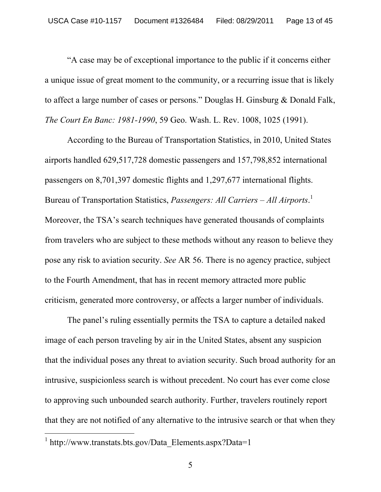"A case may be of exceptional importance to the public if it concerns either a unique issue of great moment to the community, or a recurring issue that is likely to affect a large number of cases or persons." Douglas H. Ginsburg & Donald Falk, *The Court En Banc: 1981-1990*, 59 Geo. Wash. L. Rev. 1008, 1025 (1991).

According to the Bureau of Transportation Statistics, in 2010, United States airports handled 629,517,728 domestic passengers and 157,798,852 international passengers on 8,701,397 domestic flights and 1,297,677 international flights. Bureau of Transportation Statistics, *Passengers: All Carriers – All Airports*. 1 Moreover, the TSA's search techniques have generated thousands of complaints from travelers who are subject to these methods without any reason to believe they pose any risk to aviation security. *See* AR 56. There is no agency practice, subject to the Fourth Amendment, that has in recent memory attracted more public criticism, generated more controversy, or affects a larger number of individuals.

The panel's ruling essentially permits the TSA to capture a detailed naked image of each person traveling by air in the United States, absent any suspicion that the individual poses any threat to aviation security. Such broad authority for an intrusive, suspicionless search is without precedent. No court has ever come close to approving such unbounded search authority. Further, travelers routinely report that they are not notified of any alternative to the intrusive search or that when they

 $\frac{1}{1}$  $\frac{1}{1}$  http://www.transtats.bts.gov/Data Elements.aspx?Data=1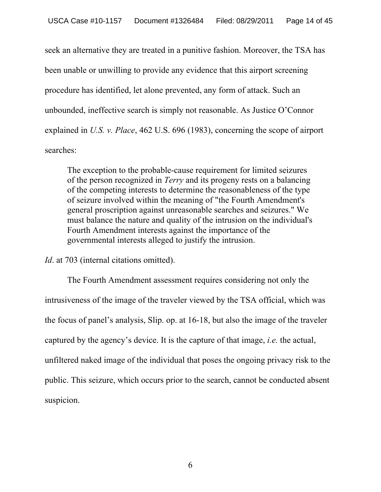seek an alternative they are treated in a punitive fashion. Moreover, the TSA has been unable or unwilling to provide any evidence that this airport screening procedure has identified, let alone prevented, any form of attack. Such an unbounded, ineffective search is simply not reasonable. As Justice O'Connor explained in *U.S. v. Place*, 462 U.S. 696 (1983), concerning the scope of airport searches:

The exception to the probable-cause requirement for limited seizures of the person recognized in *Terry* and its progeny rests on a balancing of the competing interests to determine the reasonableness of the type of seizure involved within the meaning of "the Fourth Amendment's general proscription against unreasonable searches and seizures." We must balance the nature and quality of the intrusion on the individual's Fourth Amendment interests against the importance of the governmental interests alleged to justify the intrusion.

*Id*. at 703 (internal citations omitted).

The Fourth Amendment assessment requires considering not only the intrusiveness of the image of the traveler viewed by the TSA official, which was the focus of panel's analysis, Slip. op. at 16-18, but also the image of the traveler captured by the agency's device. It is the capture of that image, *i.e.* the actual, unfiltered naked image of the individual that poses the ongoing privacy risk to the public. This seizure, which occurs prior to the search, cannot be conducted absent suspicion.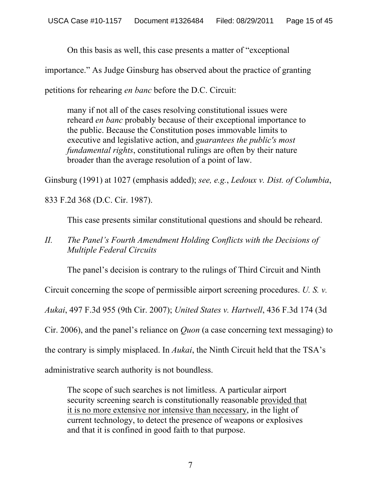On this basis as well, this case presents a matter of "exceptional

importance." As Judge Ginsburg has observed about the practice of granting

petitions for rehearing *en banc* before the D.C. Circuit:

many if not all of the cases resolving constitutional issues were reheard *en banc* probably because of their exceptional importance to the public. Because the Constitution poses immovable limits to executive and legislative action, and *guarantees the public's most fundamental rights*, constitutional rulings are often by their nature broader than the average resolution of a point of law.

Ginsburg (1991) at 1027 (emphasis added); *see, e.g.*, *Ledoux v. Dist. of Columbia*,

833 F.2d 368 (D.C. Cir. 1987).

This case presents similar constitutional questions and should be reheard.

## *II. The Panel's Fourth Amendment Holding Conflicts with the Decisions of Multiple Federal Circuits*

The panel's decision is contrary to the rulings of Third Circuit and Ninth

Circuit concerning the scope of permissible airport screening procedures. *U. S. v.* 

*Aukai*, 497 F.3d 955 (9th Cir. 2007); *United States v. Hartwell*, 436 F.3d 174 (3d

Cir. 2006), and the panel's reliance on *Quon* (a case concerning text messaging) to

the contrary is simply misplaced. In *Aukai*, the Ninth Circuit held that the TSA's

administrative search authority is not boundless.

The scope of such searches is not limitless. A particular airport security screening search is constitutionally reasonable provided that it is no more extensive nor intensive than necessary, in the light of current technology, to detect the presence of weapons or explosives and that it is confined in good faith to that purpose.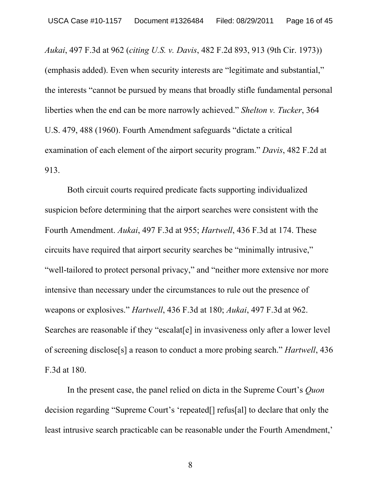*Aukai*, 497 F.3d at 962 (*citing U.S. v. Davis*, 482 F.2d 893, 913 (9th Cir. 1973)) (emphasis added). Even when security interests are "legitimate and substantial," the interests "cannot be pursued by means that broadly stifle fundamental personal liberties when the end can be more narrowly achieved." *Shelton v. Tucker*, 364 U.S. 479, 488 (1960). Fourth Amendment safeguards "dictate a critical examination of each element of the airport security program." *Davis*, 482 F.2d at 913.

Both circuit courts required predicate facts supporting individualized suspicion before determining that the airport searches were consistent with the Fourth Amendment. *Aukai*, 497 F.3d at 955; *Hartwell*, 436 F.3d at 174. These circuits have required that airport security searches be "minimally intrusive," "well-tailored to protect personal privacy," and "neither more extensive nor more intensive than necessary under the circumstances to rule out the presence of weapons or explosives." *Hartwell*, 436 F.3d at 180; *Aukai*, 497 F.3d at 962. Searches are reasonable if they "escalat [e] in invasiveness only after a lower level of screening disclose[s] a reason to conduct a more probing search." *Hartwell*, 436 F.3d at 180.

In the present case, the panel relied on dicta in the Supreme Court's *Quon* decision regarding "Supreme Court's 'repeated[] refus[al] to declare that only the least intrusive search practicable can be reasonable under the Fourth Amendment,'

8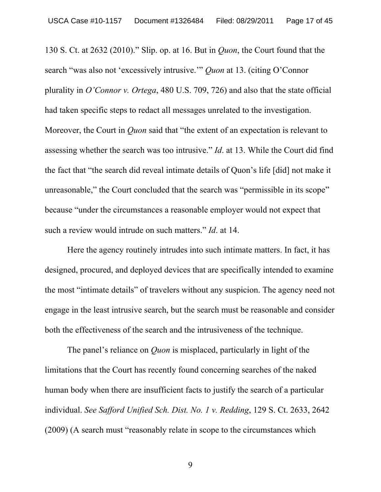130 S. Ct. at 2632 (2010)." Slip. op. at 16. But in *Quon*, the Court found that the search "was also not 'excessively intrusive.'" *Quon* at 13. (citing O'Connor plurality in *O'Connor v. Ortega*, 480 U.S. 709, 726) and also that the state official had taken specific steps to redact all messages unrelated to the investigation. Moreover, the Court in *Quon* said that "the extent of an expectation is relevant to assessing whether the search was too intrusive." *Id*. at 13. While the Court did find the fact that "the search did reveal intimate details of Quon's life [did] not make it unreasonable," the Court concluded that the search was "permissible in its scope" because "under the circumstances a reasonable employer would not expect that such a review would intrude on such matters." *Id*. at 14.

Here the agency routinely intrudes into such intimate matters. In fact, it has designed, procured, and deployed devices that are specifically intended to examine the most "intimate details" of travelers without any suspicion. The agency need not engage in the least intrusive search, but the search must be reasonable and consider both the effectiveness of the search and the intrusiveness of the technique.

The panel's reliance on *Quon* is misplaced, particularly in light of the limitations that the Court has recently found concerning searches of the naked human body when there are insufficient facts to justify the search of a particular individual. *See Safford Unified Sch. Dist. No. 1 v. Redding*, 129 S. Ct. 2633, 2642 (2009) (A search must "reasonably relate in scope to the circumstances which

9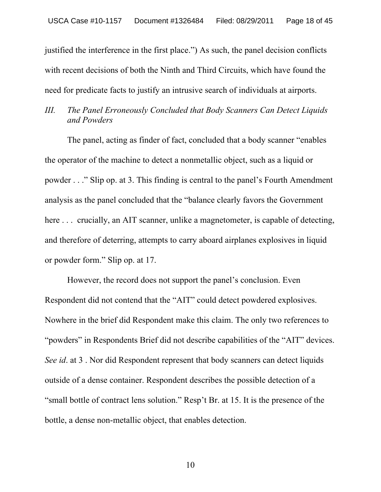justified the interference in the first place.") As such, the panel decision conflicts with recent decisions of both the Ninth and Third Circuits, which have found the need for predicate facts to justify an intrusive search of individuals at airports.

## *III. The Panel Erroneously Concluded that Body Scanners Can Detect Liquids and Powders*

The panel, acting as finder of fact, concluded that a body scanner "enables the operator of the machine to detect a nonmetallic object, such as a liquid or powder . . ." Slip op. at 3. This finding is central to the panel's Fourth Amendment analysis as the panel concluded that the "balance clearly favors the Government here ... crucially, an AIT scanner, unlike a magnetometer, is capable of detecting, and therefore of deterring, attempts to carry aboard airplanes explosives in liquid or powder form." Slip op. at 17.

However, the record does not support the panel's conclusion. Even Respondent did not contend that the "AIT" could detect powdered explosives. Nowhere in the brief did Respondent make this claim. The only two references to "powders" in Respondents Brief did not describe capabilities of the "AIT" devices. *See id*. at 3 . Nor did Respondent represent that body scanners can detect liquids outside of a dense container. Respondent describes the possible detection of a "small bottle of contract lens solution." Resp't Br. at 15. It is the presence of the bottle, a dense non-metallic object, that enables detection.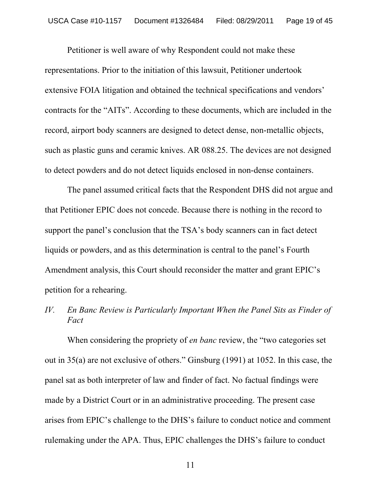Petitioner is well aware of why Respondent could not make these representations. Prior to the initiation of this lawsuit, Petitioner undertook extensive FOIA litigation and obtained the technical specifications and vendors' contracts for the "AITs". According to these documents, which are included in the record, airport body scanners are designed to detect dense, non-metallic objects, such as plastic guns and ceramic knives. AR 088.25. The devices are not designed to detect powders and do not detect liquids enclosed in non-dense containers.

The panel assumed critical facts that the Respondent DHS did not argue and that Petitioner EPIC does not concede. Because there is nothing in the record to support the panel's conclusion that the TSA's body scanners can in fact detect liquids or powders, and as this determination is central to the panel's Fourth Amendment analysis, this Court should reconsider the matter and grant EPIC's petition for a rehearing.

*IV. En Banc Review is Particularly Important When the Panel Sits as Finder of Fact*

When considering the propriety of *en banc* review, the "two categories set out in 35(a) are not exclusive of others." Ginsburg (1991) at 1052. In this case, the panel sat as both interpreter of law and finder of fact. No factual findings were made by a District Court or in an administrative proceeding. The present case arises from EPIC's challenge to the DHS's failure to conduct notice and comment rulemaking under the APA. Thus, EPIC challenges the DHS's failure to conduct

11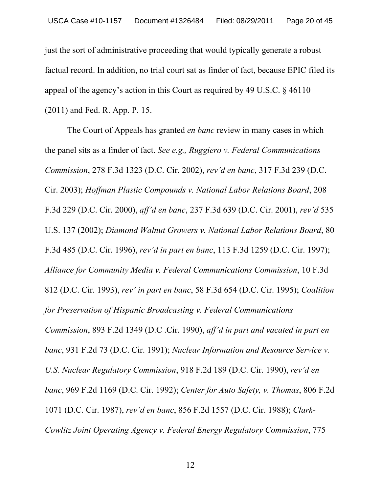just the sort of administrative proceeding that would typically generate a robust factual record. In addition, no trial court sat as finder of fact, because EPIC filed its appeal of the agency's action in this Court as required by 49 U.S.C. § 46110 (2011) and Fed. R. App. P. 15.

The Court of Appeals has granted *en banc* review in many cases in which the panel sits as a finder of fact. *See e.g., Ruggiero v. Federal Communications Commission*, 278 F.3d 1323 (D.C. Cir. 2002), *rev'd en banc*, 317 F.3d 239 (D.C. Cir. 2003); *Hoffman Plastic Compounds v. National Labor Relations Board*, 208 F.3d 229 (D.C. Cir. 2000), *aff'd en banc*, 237 F.3d 639 (D.C. Cir. 2001), *rev'd* 535 U.S. 137 (2002); *Diamond Walnut Growers v. National Labor Relations Board*, 80 F.3d 485 (D.C. Cir. 1996), *rev'd in part en banc*, 113 F.3d 1259 (D.C. Cir. 1997); *Alliance for Community Media v. Federal Communications Commission*, 10 F.3d 812 (D.C. Cir. 1993), *rev' in part en banc*, 58 F.3d 654 (D.C. Cir. 1995); *Coalition for Preservation of Hispanic Broadcasting v. Federal Communications Commission*, 893 F.2d 1349 (D.C .Cir. 1990), *aff'd in part and vacated in part en banc*, 931 F.2d 73 (D.C. Cir. 1991); *Nuclear Information and Resource Service v. U.S. Nuclear Regulatory Commission*, 918 F.2d 189 (D.C. Cir. 1990), *rev'd en banc*, 969 F.2d 1169 (D.C. Cir. 1992); *Center for Auto Safety, v. Thomas*, 806 F.2d 1071 (D.C. Cir. 1987), *rev'd en banc*, 856 F.2d 1557 (D.C. Cir. 1988); *Clark-Cowlitz Joint Operating Agency v. Federal Energy Regulatory Commission*, 775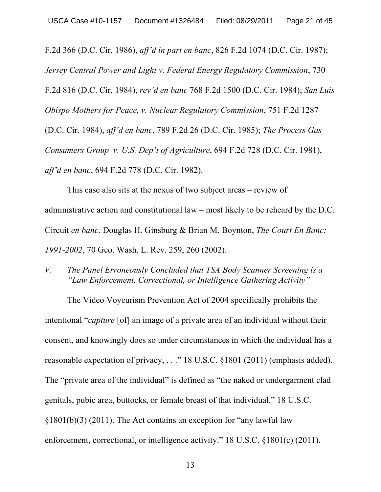F.2d 366 (D.C. Cir. 1986), *aff'd in part en banc*, 826 F.2d 1074 (D.C. Cir. 1987); *Jersey Central Power and Light v. Federal Energy Regulatory Commission*, 730 F.2d 816 (D.C. Cir. 1984), *rev'd en banc* 768 F.2d 1500 (D.C. Cir. 1984); *San Luis Obispo Mothers for Peace, v. Nuclear Regulatory Commission*, 751 F.2d 1287 (D.C. Cir. 1984), *aff'd en banc*, 789 F.2d 26 (D.C. Cir. 1985); *The Process Gas Consumers Group v. U.S. Dep't of Agriculture*, 694 F.2d 728 (D.C. Cir. 1981), *aff'd en banc*, 694 F.2d 778 (D.C. Cir. 1982).

This case also sits at the nexus of two subject areas – review of administrative action and constitutional law – most likely to be reheard by the D.C. Circuit *en banc*. Douglas H. Ginsburg & Brian M. Boynton, *The Court En Banc: 1991-2002*, 70 Geo. Wash. L. Rev. 259, 260 (2002).

*V. The Panel Erroneously Concluded that TSA Body Scanner Screening is a "Law Enforcement, Correctional, or Intelligence Gathering Activity"*

The Video Voyeurism Prevention Act of 2004 specifically prohibits the intentional "*capture* [of] an image of a private area of an individual without their consent, and knowingly does so under circumstances in which the individual has a reasonable expectation of privacy, . . ." 18 U.S.C. §1801 (2011) (emphasis added). The "private area of the individual" is defined as "the naked or undergarment clad genitals, pubic area, buttocks, or female breast of that individual." 18 U.S.C. §1801(b)(3) (2011). The Act contains an exception for "any lawful law enforcement, correctional, or intelligence activity." 18 U.S.C. §1801(c) (2011).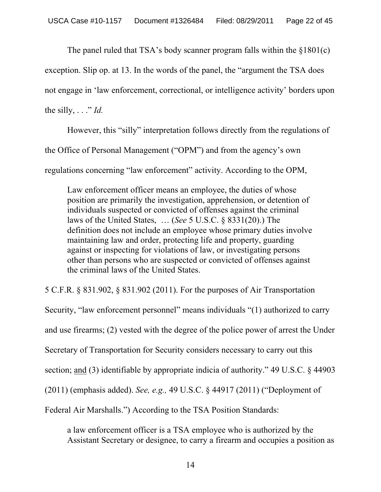The panel ruled that TSA's body scanner program falls within the §1801(c)

exception. Slip op. at 13. In the words of the panel, the "argument the TSA does

not engage in 'law enforcement, correctional, or intelligence activity' borders upon

the silly,  $\ldots$  "*Id.* 

However, this "silly" interpretation follows directly from the regulations of the Office of Personal Management ("OPM") and from the agency's own regulations concerning "law enforcement" activity. According to the OPM,

Law enforcement officer means an employee, the duties of whose position are primarily the investigation, apprehension, or detention of individuals suspected or convicted of offenses against the criminal laws of the United States, … (*See* 5 U.S.C. § 8331(20).) The definition does not include an employee whose primary duties involve maintaining law and order, protecting life and property, guarding against or inspecting for violations of law, or investigating persons other than persons who are suspected or convicted of offenses against the criminal laws of the United States.

5 C.F.R. § 831.902, § 831.902 (2011). For the purposes of Air Transportation Security, "law enforcement personnel" means individuals "(1) authorized to carry and use firearms; (2) vested with the degree of the police power of arrest the Under Secretary of Transportation for Security considers necessary to carry out this section; and (3) identifiable by appropriate indicia of authority." 49 U.S.C. § 44903 (2011) (emphasis added). *See, e.g.,* 49 U.S.C. § 44917 (2011) ("Deployment of Federal Air Marshalls.") According to the TSA Position Standards:

a law enforcement officer is a TSA employee who is authorized by the Assistant Secretary or designee, to carry a firearm and occupies a position as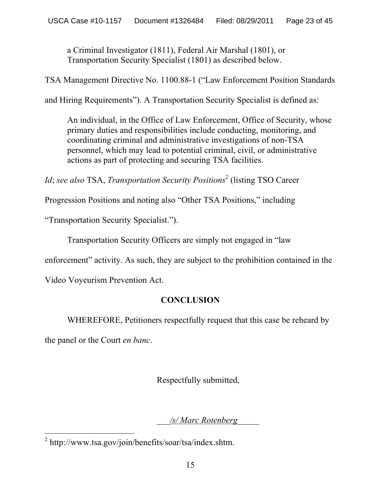a Criminal Investigator (1811), Federal Air Marshal (1801), or Transportation Security Specialist (1801) as described below.

TSA Management Directive No. 1100.88-1 ("Law Enforcement Position Standards

and Hiring Requirements"). A Transportation Security Specialist is defined as:

An individual, in the Office of Law Enforcement, Office of Security, whose primary duties and responsibilities include conducting, monitoring, and coordinating criminal and administrative investigations of non-TSA personnel, which may lead to potential criminal, civil, or administrative actions as part of protecting and securing TSA facilities.

*Id*; *see also* TSA, *Transportation Security Positions*<sup>2</sup> (listing TSO Career

Progression Positions and noting also "Other TSA Positions," including

"Transportation Security Specialist.").

Transportation Security Officers are simply not engaged in "law

enforcement" activity. As such, they are subject to the prohibition contained in the

Video Voyeurism Prevention Act.

# **CONCLUSION**

WHEREFORE, Petitioners respectfully request that this case be reheard by

the panel or the Court *en banc*.

Respectfully submitted,

\_\_\_*/s/ Marc Rotenberg*\_\_\_\_\_

 $^{2}$  http://www.tsa.gov/join/benefits/soar/tsa/index.shtm.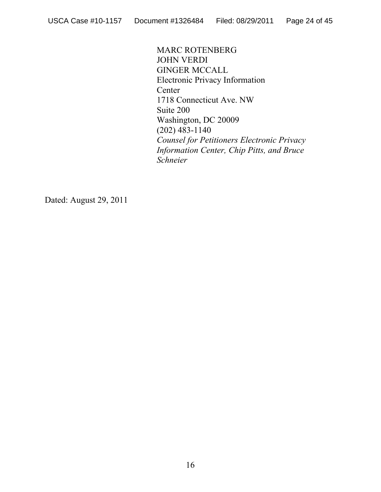MARC ROTENBERG JOHN VERDI GINGER MCCALL Electronic Privacy Information **Center** 1718 Connecticut Ave. NW Suite 200 Washington, DC 20009 (202) 483-1140 *Counsel for Petitioners Electronic Privacy Information Center, Chip Pitts, and Bruce Schneier*

Dated: August 29, 2011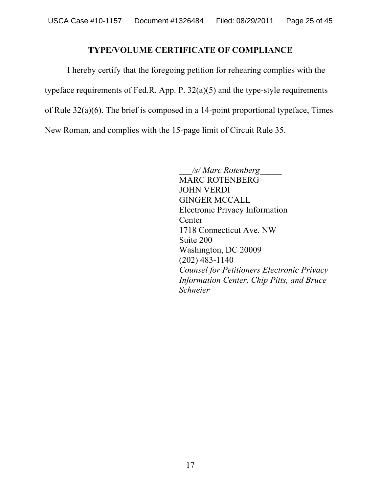## **TYPE/VOLUME CERTIFICATE OF COMPLIANCE**

I hereby certify that the foregoing petition for rehearing complies with the typeface requirements of Fed.R. App. P. 32(a)(5) and the type-style requirements of Rule 32(a)(6). The brief is composed in a 14-point proportional typeface, Times New Roman, and complies with the 15-page limit of Circuit Rule 35.

> \_\_\_*/s/ Marc Rotenberg*\_\_\_\_\_ MARC ROTENBERG JOHN VERDI GINGER MCCALL Electronic Privacy Information **Center** 1718 Connecticut Ave. NW Suite 200 Washington, DC 20009 (202) 483-1140 *Counsel for Petitioners Electronic Privacy Information Center, Chip Pitts, and Bruce Schneier*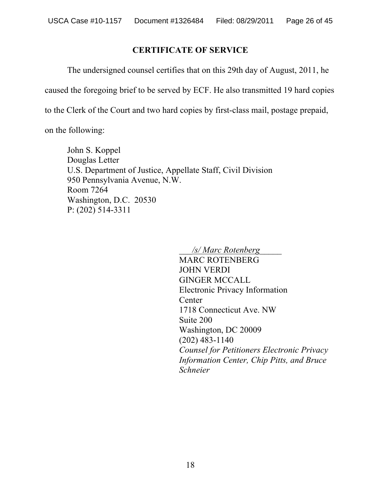## **CERTIFICATE OF SERVICE**

The undersigned counsel certifies that on this 29th day of August, 2011, he

caused the foregoing brief to be served by ECF. He also transmitted 19 hard copies

to the Clerk of the Court and two hard copies by first-class mail, postage prepaid,

on the following:

John S. Koppel Douglas Letter U.S. Department of Justice, Appellate Staff, Civil Division 950 Pennsylvania Avenue, N.W. Room 7264 Washington, D.C. 20530 P: (202) 514-3311

> \_\_\_*/s/ Marc Rotenberg*\_\_\_\_\_ MARC ROTENBERG JOHN VERDI GINGER MCCALL Electronic Privacy Information **Center** 1718 Connecticut Ave. NW Suite 200 Washington, DC 20009 (202) 483-1140 *Counsel for Petitioners Electronic Privacy Information Center, Chip Pitts, and Bruce Schneier*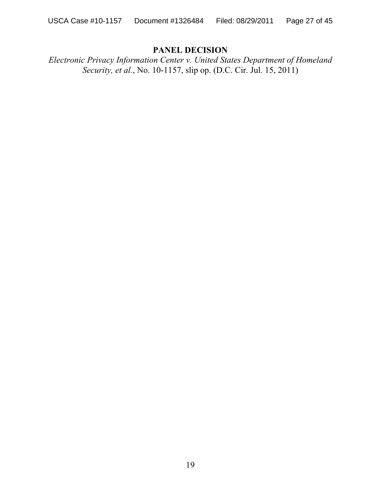## **PANEL DECISION**

*Electronic Privacy Information Center v. United States Department of Homeland Security, et al.*, No. 10-1157, slip op. (D.C. Cir. Jul. 15, 2011)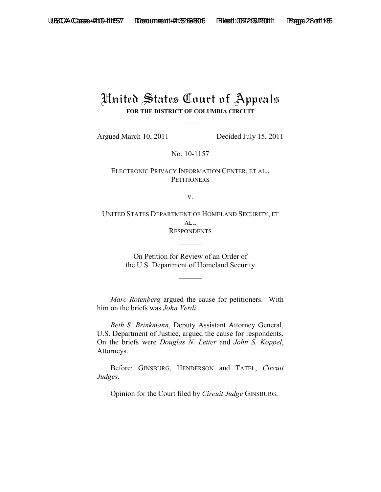# United States Court of Appeals **FOR THE DISTRICT OF COLUMBIA CIRCUIT**

Argued March 10, 2011 Decided July 15, 2011

No. 10-1157

ELECTRONIC PRIVACY INFORMATION CENTER, ET AL., **PETITIONERS** 

v.

UNITED STATES DEPARTMENT OF HOMELAND SECURITY, ET AL., **RESPONDENTS** 

> On Petition for Review of an Order of the U.S. Department of Homeland Security

*Marc Rotenberg* argued the cause for petitioners. With him on the briefs was *John Verdi*.

*Beth S. Brinkmann*, Deputy Assistant Attorney General, U.S. Department of Justice, argued the cause for respondents. On the briefs were *Douglas N. Letter* and *John S. Koppel*, Attorneys.

Before: GINSBURG, HENDERSON and TATEL, *Circuit Judges*.

Opinion for the Court filed by *Circuit Judge* GINSBURG.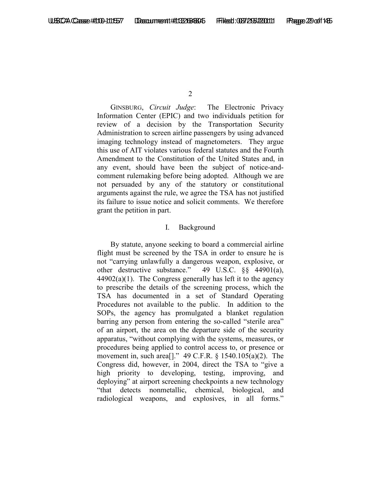GINSBURG, *Circuit Judge*: The Electronic Privacy Information Center (EPIC) and two individuals petition for review of a decision by the Transportation Security Administration to screen airline passengers by using advanced imaging technology instead of magnetometers. They argue this use of AIT violates various federal statutes and the Fourth Amendment to the Constitution of the United States and, in any event, should have been the subject of notice-andcomment rulemaking before being adopted. Although we are not persuaded by any of the statutory or constitutional arguments against the rule, we agree the TSA has not justified its failure to issue notice and solicit comments. We therefore grant the petition in part.

### I. Background

By statute, anyone seeking to board a commercial airline flight must be screened by the TSA in order to ensure he is not "carrying unlawfully a dangerous weapon, explosive, or other destructive substance." 49 U.S.C. §§ 44901(a),  $44902(a)(1)$ . The Congress generally has left it to the agency to prescribe the details of the screening process, which the TSA has documented in a set of Standard Operating Procedures not available to the public. In addition to the SOPs, the agency has promulgated a blanket regulation barring any person from entering the so-called "sterile area" of an airport, the area on the departure side of the security apparatus, "without complying with the systems, measures, or procedures being applied to control access to, or presence or movement in, such area[]." 49 C.F.R. § 1540.105(a)(2). The Congress did, however, in 2004, direct the TSA to "give a high priority to developing, testing, improving, and deploying" at airport screening checkpoints a new technology "that detects nonmetallic, chemical, biological, and radiological weapons, and explosives, in all forms."

 $\mathfrak{D}$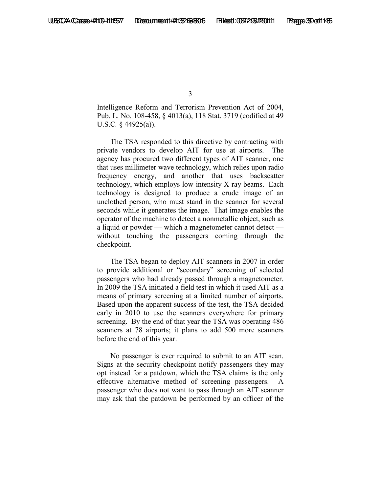Intelligence Reform and Terrorism Prevention Act of 2004, Pub. L. No. 108-458, § 4013(a), 118 Stat. 3719 (codified at 49 U.S.C*.* § 44925(a)).

The TSA responded to this directive by contracting with private vendors to develop AIT for use at airports. The agency has procured two different types of AIT scanner, one that uses millimeter wave technology, which relies upon radio frequency energy, and another that uses backscatter technology, which employs low-intensity X-ray beams. Each technology is designed to produce a crude image of an unclothed person, who must stand in the scanner for several seconds while it generates the image. That image enables the operator of the machine to detect a nonmetallic object, such as a liquid or powder — which a magnetometer cannot detect without touching the passengers coming through the checkpoint.

The TSA began to deploy AIT scanners in 2007 in order to provide additional or "secondary" screening of selected passengers who had already passed through a magnetometer. In 2009 the TSA initiated a field test in which it used AIT as a means of primary screening at a limited number of airports. Based upon the apparent success of the test, the TSA decided early in 2010 to use the scanners everywhere for primary screening. By the end of that year the TSA was operating 486 scanners at 78 airports; it plans to add 500 more scanners before the end of this year.

No passenger is ever required to submit to an AIT scan. Signs at the security checkpoint notify passengers they may opt instead for a patdown, which the TSA claims is the only effective alternative method of screening passengers. A passenger who does not want to pass through an AIT scanner may ask that the patdown be performed by an officer of the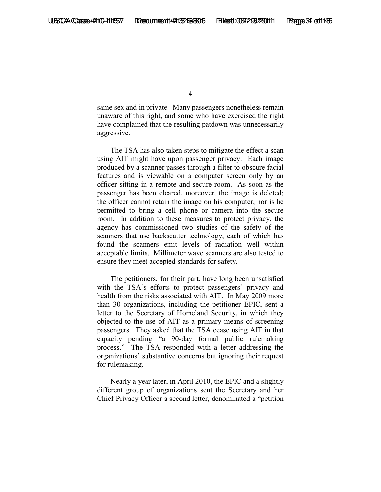same sex and in private. Many passengers nonetheless remain unaware of this right, and some who have exercised the right have complained that the resulting patdown was unnecessarily aggressive.

The TSA has also taken steps to mitigate the effect a scan using AIT might have upon passenger privacy: Each image produced by a scanner passes through a filter to obscure facial features and is viewable on a computer screen only by an officer sitting in a remote and secure room. As soon as the passenger has been cleared, moreover, the image is deleted; the officer cannot retain the image on his computer, nor is he permitted to bring a cell phone or camera into the secure room. In addition to these measures to protect privacy, the agency has commissioned two studies of the safety of the scanners that use backscatter technology, each of which has found the scanners emit levels of radiation well within acceptable limits. Millimeter wave scanners are also tested to ensure they meet accepted standards for safety.

The petitioners, for their part, have long been unsatisfied with the TSA's efforts to protect passengers' privacy and health from the risks associated with AIT. In May 2009 more than 30 organizations, including the petitioner EPIC, sent a letter to the Secretary of Homeland Security, in which they objected to the use of AIT as a primary means of screening passengers. They asked that the TSA cease using AIT in that capacity pending "a 90-day formal public rulemaking process." The TSA responded with a letter addressing the organizations' substantive concerns but ignoring their request for rulemaking.

Nearly a year later, in April 2010, the EPIC and a slightly different group of organizations sent the Secretary and her Chief Privacy Officer a second letter, denominated a "petition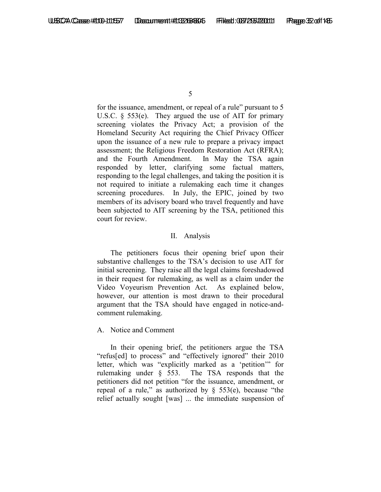for the issuance, amendment, or repeal of a rule" pursuant to 5 U.S.C. § 553(e). They argued the use of AIT for primary screening violates the Privacy Act; a provision of the Homeland Security Act requiring the Chief Privacy Officer upon the issuance of a new rule to prepare a privacy impact assessment; the Religious Freedom Restoration Act (RFRA); and the Fourth Amendment. In May the TSA again responded by letter, clarifying some factual matters, responding to the legal challenges, and taking the position it is not required to initiate a rulemaking each time it changes screening procedures. In July, the EPIC, joined by two members of its advisory board who travel frequently and have been subjected to AIT screening by the TSA, petitioned this court for review.

### II. Analysis

The petitioners focus their opening brief upon their substantive challenges to the TSA's decision to use AIT for initial screening. They raise all the legal claims foreshadowed in their request for rulemaking, as well as a claim under the Video Voyeurism Prevention Act. As explained below, however, our attention is most drawn to their procedural argument that the TSA should have engaged in notice-andcomment rulemaking.

### A. Notice and Comment

In their opening brief, the petitioners argue the TSA "refus[ed] to process" and "effectively ignored" their 2010 letter, which was "explicitly marked as a 'petition'" for rulemaking under § 553. The TSA responds that the petitioners did not petition "for the issuance, amendment, or repeal of a rule," as authorized by  $\S$  553(e), because "the relief actually sought [was] ... the immediate suspension of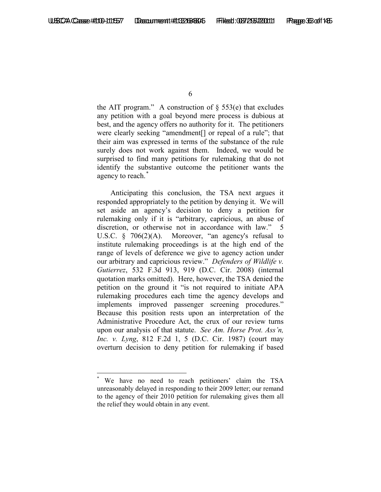the AIT program." A construction of  $\S$  553(e) that excludes any petition with a goal beyond mere process is dubious at best, and the agency offers no authority for it. The petitioners were clearly seeking "amendment[] or repeal of a rule"; that their aim was expressed in terms of the substance of the rule surely does not work against them. Indeed, we would be surprised to find many petitions for rulemaking that do not identify the substantive outcome the petitioner wants the agency to reach. [\\*](#page-32-0)

Anticipating this conclusion, the TSA next argues it responded appropriately to the petition by denying it. We will set aside an agency's decision to deny a petition for rulemaking only if it is "arbitrary, capricious, an abuse of discretion, or otherwise not in accordance with law." 5 U.S.C. § 706(2)(A). Moreover, "an agency's refusal to institute rulemaking proceedings is at the high end of the range of levels of deference we give to agency action under our arbitrary and capricious review." *Defenders of Wildlife v. Gutierrez*, 532 F.3d 913, 919 (D.C. Cir. 2008) (internal quotation marks omitted). Here, however, the TSA denied the petition on the ground it "is not required to initiate APA rulemaking procedures each time the agency develops and implements improved passenger screening procedures." Because this position rests upon an interpretation of the Administrative Procedure Act, the crux of our review turns upon our analysis of that statute. *See Am. Horse Prot. Ass'n, Inc. v. Lyng*, 812 F.2d 1, 5 (D.C. Cir. 1987) (court may overturn decision to deny petition for rulemaking if based

<span id="page-32-0"></span>We have no need to reach petitioners' claim the TSA unreasonably delayed in responding to their 2009 letter; our remand to the agency of their 2010 petition for rulemaking gives them all the relief they would obtain in any event.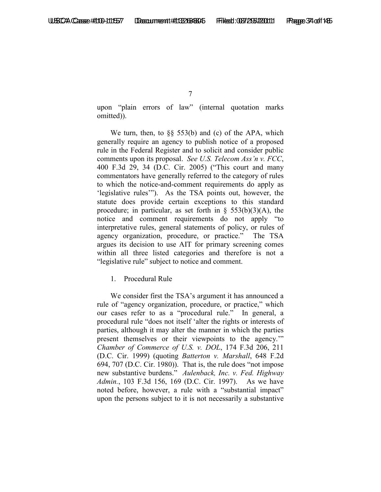upon "plain errors of law" (internal quotation marks omitted)).

We turn, then, to §§ 553(b) and (c) of the APA, which generally require an agency to publish notice of a proposed rule in the Federal Register and to solicit and consider public comments upon its proposal. *See U.S. Telecom Ass'n v. FCC*, 400 F.3d 29, 34 (D.C. Cir. 2005) ("This court and many commentators have generally referred to the category of rules to which the notice-and-comment requirements do apply as 'legislative rules'"). As the TSA points out, however, the statute does provide certain exceptions to this standard procedure; in particular, as set forth in  $\S$  553(b)(3)(A), the notice and comment requirements do not apply "to interpretative rules, general statements of policy, or rules of agency organization, procedure, or practice." The TSA argues its decision to use AIT for primary screening comes within all three listed categories and therefore is not a "legislative rule" subject to notice and comment.

1. Procedural Rule

We consider first the TSA's argument it has announced a rule of "agency organization, procedure, or practice," which our cases refer to as a "procedural rule." In general, a procedural rule "does not itself 'alter the rights or interests of parties, although it may alter the manner in which the parties present themselves or their viewpoints to the agency.'" *Chamber of Commerce of U.S. v. DOL*, 174 F.3d 206, 211 (D.C. Cir. 1999) (quoting *Batterton v. Marshall*, 648 F.2d 694, 707 (D.C. Cir. 1980)). That is, the rule does "not impose new substantive burdens." *Aulenback, Inc. v. Fed. Highway Admin.*, 103 F.3d 156, 169 (D.C. Cir. 1997). As we have noted before, however, a rule with a "substantial impact" upon the persons subject to it is not necessarily a substantive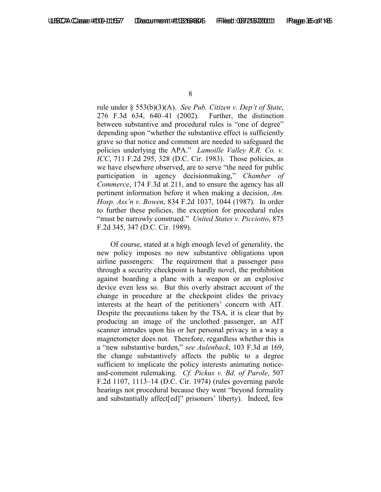rule under § 553(b)(3)(A). *See Pub. Citizen v. Dep't of State*, 276 F.3d 634, 640–41 (2002). Further, the distinction between substantive and procedural rules is "one of degree" depending upon "whether the substantive effect is sufficiently grave so that notice and comment are needed to safeguard the policies underlying the APA." *Lamoille Valley R.R. Co. v. ICC*, 711 F.2d 295, 328 (D.C. Cir. 1983). Those policies, as we have elsewhere observed, are to serve "the need for public participation in agency decisionmaking," *Chamber of Commerce*, 174 F.3d at 211, and to ensure the agency has all pertinent information before it when making a decision, *Am. Hosp. Ass'n v. Bowen*, 834 F.2d 1037, 1044 (1987). In order to further these policies, the exception for procedural rules "must be narrowly construed." *United States v. Picciotto*, 875 F.2d 345, 347 (D.C. Cir. 1989).

Of course, stated at a high enough level of generality, the new policy imposes no new substantive obligations upon airline passengers: The requirement that a passenger pass through a security checkpoint is hardly novel, the prohibition against boarding a plane with a weapon or an explosive device even less so. But this overly abstract account of the change in procedure at the checkpoint elides the privacy interests at the heart of the petitioners' concern with AIT. Despite the precautions taken by the TSA, it is clear that by producing an image of the unclothed passenger, an AIT scanner intrudes upon his or her personal privacy in a way a magnetometer does not. Therefore, regardless whether this is a "new substantive burden," *see Aulenback*, 103 F.3d at 169, the change substantively affects the public to a degree sufficient to implicate the policy interests animating noticeand-comment rulemaking. *Cf. Pickus v. Bd. of Parole*, 507 F.2d 1107, 1113–14 (D.C. Cir. 1974) (rules governing parole hearings not procedural because they went "beyond formality and substantially affect[ed]" prisoners' liberty). Indeed, few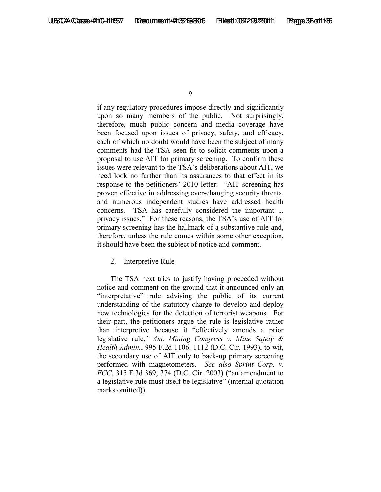if any regulatory procedures impose directly and significantly upon so many members of the public. Not surprisingly, therefore, much public concern and media coverage have been focused upon issues of privacy, safety, and efficacy, each of which no doubt would have been the subject of many comments had the TSA seen fit to solicit comments upon a proposal to use AIT for primary screening. To confirm these issues were relevant to the TSA's deliberations about AIT, we need look no further than its assurances to that effect in its response to the petitioners' 2010 letter: "AIT screening has proven effective in addressing ever-changing security threats, and numerous independent studies have addressed health concerns. TSA has carefully considered the important ... privacy issues." For these reasons, the TSA's use of AIT for primary screening has the hallmark of a substantive rule and, therefore, unless the rule comes within some other exception, it should have been the subject of notice and comment.

### 2. Interpretive Rule

The TSA next tries to justify having proceeded without notice and comment on the ground that it announced only an "interpretative" rule advising the public of its current understanding of the statutory charge to develop and deploy new technologies for the detection of terrorist weapons. For their part, the petitioners argue the rule is legislative rather than interpretive because it "effectively amends a prior legislative rule," *Am. Mining Congress v. Mine Safety & Health Admin.*, 995 F.2d 1106, 1112 (D.C. Cir. 1993), to wit, the secondary use of AIT only to back-up primary screening performed with magnetometers. *See also Sprint Corp. v. FCC*, 315 F.3d 369, 374 (D.C. Cir. 2003) ("an amendment to a legislative rule must itself be legislative" (internal quotation marks omitted)).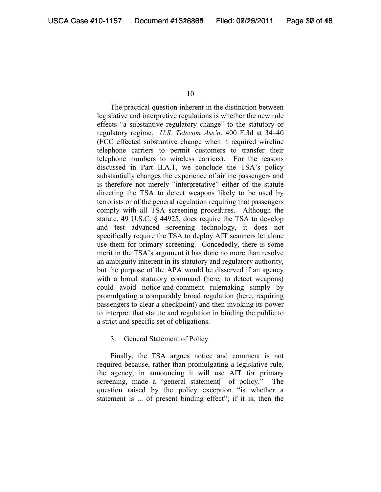The practical question inherent in the distinction between legislative and interpretive regulations is whether the new rule effects "a substantive regulatory change" to the statutory or regulatory regime. *U.S. Telecom Ass'n*, 400 F.3d at 34–40 (FCC effected substantive change when it required wireline telephone carriers to permit customers to transfer their telephone numbers to wireless carriers). For the reasons discussed in Part II.A.1, we conclude the TSA's policy substantially changes the experience of airline passengers and is therefore not merely "interpretative" either of the statute directing the TSA to detect weapons likely to be used by terrorists or of the general regulation requiring that passengers comply with all TSA screening procedures. Although the statute, 49 U.S.C. § 44925, does require the TSA to develop and test advanced screening technology, it does not specifically require the TSA to deploy AIT scanners let alone use them for primary screening. Concededly, there is some merit in the TSA's argument it has done no more than resolve an ambiguity inherent in its statutory and regulatory authority, but the purpose of the APA would be disserved if an agency with a broad statutory command (here, to detect weapons) could avoid notice-and-comment rulemaking simply by promulgating a comparably broad regulation (here, requiring passengers to clear a checkpoint) and then invoking its power to interpret that statute and regulation in binding the public to a strict and specific set of obligations.

3. General Statement of Policy

Finally, the TSA argues notice and comment is not required because, rather than promulgating a legislative rule, the agency, in announcing it will use AIT for primary screening, made a "general statement[] of policy." The question raised by the policy exception "is whether a statement is ... of present binding effect"; if it is, then the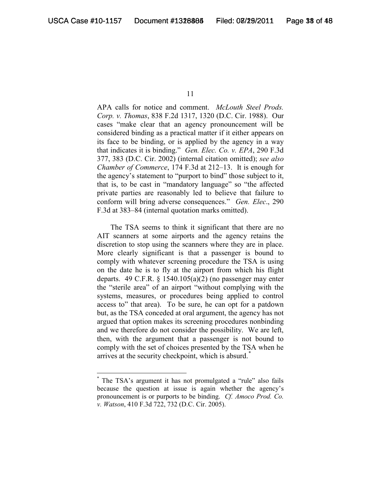APA calls for notice and comment. *McLouth Steel Prods. Corp. v. Thomas*, 838 F.2d 1317, 1320 (D.C. Cir. 1988). Our cases "make clear that an agency pronouncement will be considered binding as a practical matter if it either appears on its face to be binding, or is applied by the agency in a way that indicates it is binding." *Gen. Elec. Co. v. EPA*, 290 F.3d 377, 383 (D.C. Cir. 2002) (internal citation omitted); *see also Chamber of Commerce*, 174 F.3d at 212–13. It is enough for the agency's statement to "purport to bind" those subject to it, that is, to be cast in "mandatory language" so "the affected private parties are reasonably led to believe that failure to conform will bring adverse consequences." *Gen. Elec*., 290 F.3d at 383–84 (internal quotation marks omitted).

The TSA seems to think it significant that there are no AIT scanners at some airports and the agency retains the discretion to stop using the scanners where they are in place. More clearly significant is that a passenger is bound to comply with whatever screening procedure the TSA is using on the date he is to fly at the airport from which his flight departs. 49 C.F.R.  $\S$  1540.105(a)(2) (no passenger may enter the "sterile area" of an airport "without complying with the systems, measures, or procedures being applied to control access to" that area). To be sure, he can opt for a patdown but, as the TSA conceded at oral argument, the agency has not argued that option makes its screening procedures nonbinding and we therefore do not consider the possibility. We are left, then, with the argument that a passenger is not bound to comply with the set of choices presented by the TSA when he arrives at the security checkpoint, which is absurd.<sup>[\\*](#page-37-0)</sup>

<span id="page-37-0"></span> <sup>\*</sup> The TSA's argument it has not promulgated a "rule" also fails because the question at issue is again whether the agency's pronouncement is or purports to be binding. *Cf. Amoco Prod. Co. v. Watson*, 410 F.3d 722, 732 (D.C. Cir. 2005).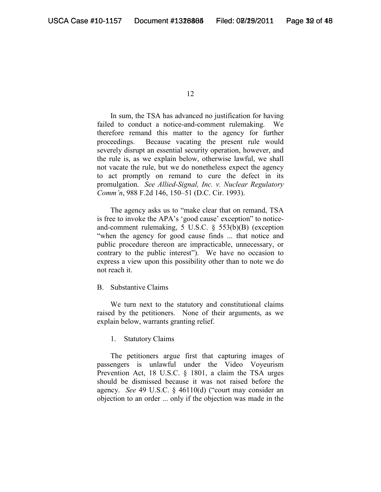In sum, the TSA has advanced no justification for having failed to conduct a notice-and-comment rulemaking. We therefore remand this matter to the agency for further proceedings. Because vacating the present rule would severely disrupt an essential security operation, however, and the rule is, as we explain below, otherwise lawful, we shall not vacate the rule, but we do nonetheless expect the agency to act promptly on remand to cure the defect in its promulgation. *See Allied-Signal, Inc. v. Nuclear Regulatory Comm'n*, 988 F.2d 146, 150–51 (D.C. Cir. 1993).

The agency asks us to "make clear that on remand, TSA is free to invoke the APA's 'good cause' exception" to noticeand-comment rulemaking, 5 U.S.C. § 553(b)(B) (exception "when the agency for good cause finds ... that notice and public procedure thereon are impracticable, unnecessary, or contrary to the public interest"). We have no occasion to express a view upon this possibility other than to note we do not reach it.

#### B. Substantive Claims

We turn next to the statutory and constitutional claims raised by the petitioners. None of their arguments, as we explain below, warrants granting relief.

### 1. Statutory Claims

The petitioners argue first that capturing images of passengers is unlawful under the Video Voyeurism Prevention Act, 18 U.S.C. § 1801, a claim the TSA urges should be dismissed because it was not raised before the agency. *See* 49 U.S.C. § 46110(d) ("court may consider an objection to an order ... only if the objection was made in the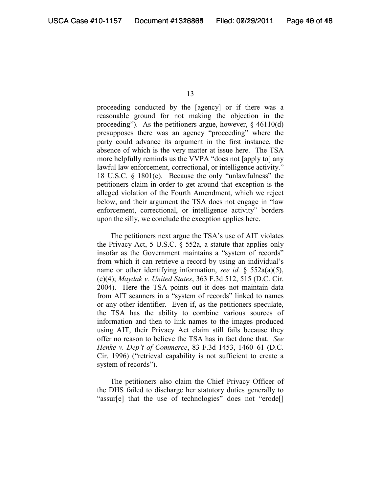proceeding conducted by the [agency] or if there was a reasonable ground for not making the objection in the proceeding"). As the petitioners argue, however, § 46110(d) presupposes there was an agency "proceeding" where the party could advance its argument in the first instance, the absence of which is the very matter at issue here. The TSA more helpfully reminds us the VVPA "does not [apply to] any lawful law enforcement, correctional, or intelligence activity." 18 U.S.C. § 1801(c). Because the only "unlawfulness" the petitioners claim in order to get around that exception is the alleged violation of the Fourth Amendment, which we reject below, and their argument the TSA does not engage in "law enforcement, correctional, or intelligence activity" borders upon the silly, we conclude the exception applies here.

The petitioners next argue the TSA's use of AIT violates the Privacy Act, 5 U.S.C. § 552a, a statute that applies only insofar as the Government maintains a "system of records" from which it can retrieve a record by using an individual's name or other identifying information, *see id.* § 552a(a)(5), (e)(4); *Maydak v. United States*, 363 F.3d 512, 515 (D.C. Cir. 2004). Here the TSA points out it does not maintain data from AIT scanners in a "system of records" linked to names or any other identifier. Even if, as the petitioners speculate, the TSA has the ability to combine various sources of information and then to link names to the images produced using AIT, their Privacy Act claim still fails because they offer no reason to believe the TSA has in fact done that. *See Henke v. Dep't of Commerce*, 83 F.3d 1453, 1460–61 (D.C. Cir. 1996) ("retrieval capability is not sufficient to create a system of records").

The petitioners also claim the Chief Privacy Officer of the DHS failed to discharge her statutory duties generally to "assur[e] that the use of technologies" does not "erode[]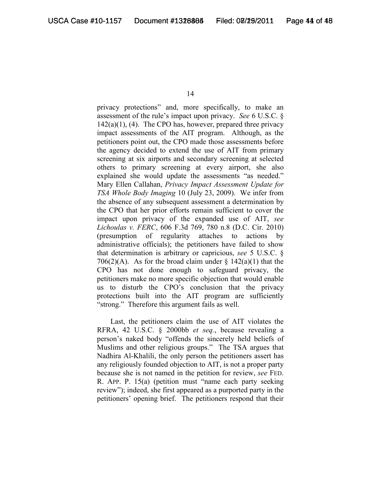privacy protections" and, more specifically, to make an assessment of the rule's impact upon privacy. *See* 6 U.S.C. §  $142(a)(1)$ , (4). The CPO has, however, prepared three privacy impact assessments of the AIT program. Although, as the petitioners point out, the CPO made those assessments before the agency decided to extend the use of AIT from primary screening at six airports and secondary screening at selected others to primary screening at every airport, she also explained she would update the assessments "as needed." Mary Ellen Callahan, *Privacy Impact Assessment Update for TSA Whole Body Imaging* 10 (July 23, 2009). We infer from the absence of any subsequent assessment a determination by the CPO that her prior efforts remain sufficient to cover the impact upon privacy of the expanded use of AIT, *see Lichoulas v. FERC*, 606 F.3d 769, 780 n.8 (D.C. Cir. 2010) (presumption of regularity attaches to actions by administrative officials); the petitioners have failed to show that determination is arbitrary or capricious, *see* 5 U.S.C. § 706(2)(A). As for the broad claim under  $\S$  142(a)(1) that the CPO has not done enough to safeguard privacy, the petitioners make no more specific objection that would enable us to disturb the CPO's conclusion that the privacy protections built into the AIT program are sufficiently "strong." Therefore this argument fails as well.

Last, the petitioners claim the use of AIT violates the RFRA, 42 U.S.C. § 2000bb *et seq.*, because revealing a person's naked body "offends the sincerely held beliefs of Muslims and other religious groups." The TSA argues that Nadhira Al-Khalili, the only person the petitioners assert has any religiously founded objection to AIT, is not a proper party because she is not named in the petition for review, *see* FED. R. APP. P. 15(a) (petition must "name each party seeking review"); indeed, she first appeared as a purported party in the petitioners' opening brief. The petitioners respond that their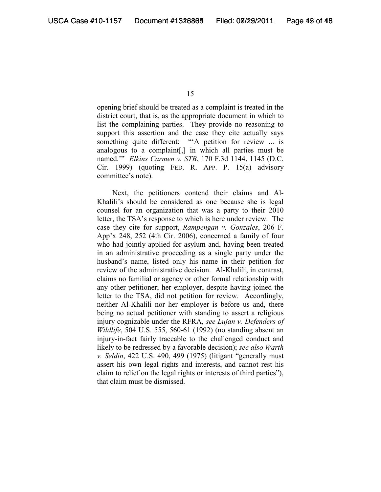opening brief should be treated as a complaint is treated in the district court, that is, as the appropriate document in which to list the complaining parties. They provide no reasoning to support this assertion and the case they cite actually says something quite different: "A petition for review ... is analogous to a complaint[,] in which all parties must be named.'" *Elkins Carmen v. STB*, 170 F.3d 1144, 1145 (D.C. Cir. 1999) (quoting FED. R. APP. P. 15(a) advisory committee's note).

Next, the petitioners contend their claims and Al-Khalili's should be considered as one because she is legal counsel for an organization that was a party to their 2010 letter, the TSA's response to which is here under review. The case they cite for support, *Rampengan v. Gonzales*, 206 F. App'x 248, 252 (4th Cir. 2006), concerned a family of four who had jointly applied for asylum and, having been treated in an administrative proceeding as a single party under the husband's name, listed only his name in their petition for review of the administrative decision. Al-Khalili, in contrast, claims no familial or agency or other formal relationship with any other petitioner; her employer, despite having joined the letter to the TSA, did not petition for review. Accordingly, neither Al-Khalili nor her employer is before us and, there being no actual petitioner with standing to assert a religious injury cognizable under the RFRA, *see Lujan v. Defenders of Wildlife*, 504 U.S. 555, 560-61 (1992) (no standing absent an injury-in-fact fairly traceable to the challenged conduct and likely to be redressed by a favorable decision); *see also Warth v. Seldin*, 422 U.S. 490, 499 (1975) (litigant "generally must assert his own legal rights and interests, and cannot rest his claim to relief on the legal rights or interests of third parties"), that claim must be dismissed.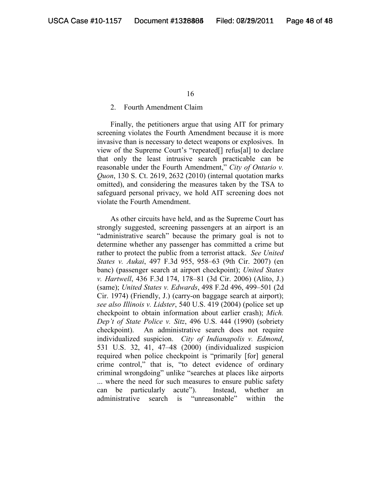#### 2. Fourth Amendment Claim

Finally, the petitioners argue that using AIT for primary screening violates the Fourth Amendment because it is more invasive than is necessary to detect weapons or explosives. In view of the Supreme Court's "repeated[] refus[al] to declare that only the least intrusive search practicable can be reasonable under the Fourth Amendment," *City of Ontario v. Quon*, 130 S. Ct. 2619, 2632 (2010) (internal quotation marks omitted), and considering the measures taken by the TSA to safeguard personal privacy, we hold AIT screening does not violate the Fourth Amendment.

As other circuits have held, and as the Supreme Court has strongly suggested, screening passengers at an airport is an "administrative search" because the primary goal is not to determine whether any passenger has committed a crime but rather to protect the public from a terrorist attack. *See United States v. Aukai*, 497 F.3d 955, 958–63 (9th Cir. 2007) (en banc) (passenger search at airport checkpoint); *United States v. Hartwell*, 436 F.3d 174, 178–81 (3d Cir. 2006) (Alito, J.) (same); *United States v. Edwards*, 498 F.2d 496, 499–501 (2d Cir. 1974) (Friendly, J.) (carry-on baggage search at airport); *see also Illinois v. Lidster*, 540 U.S. 419 (2004) (police set up checkpoint to obtain information about earlier crash); *Mich. Dep't of State Police v. Sitz*, 496 U.S. 444 (1990) (sobriety checkpoint). An administrative search does not require individualized suspicion. *City of Indianapolis v. Edmond*, 531 U.S. 32, 41, 47–48 (2000) (individualized suspicion required when police checkpoint is "primarily [for] general crime control," that is, "to detect evidence of ordinary criminal wrongdoing" unlike "searches at places like airports ... where the need for such measures to ensure public safety can be particularly acute"). Instead, whether an administrative search is "unreasonable" within the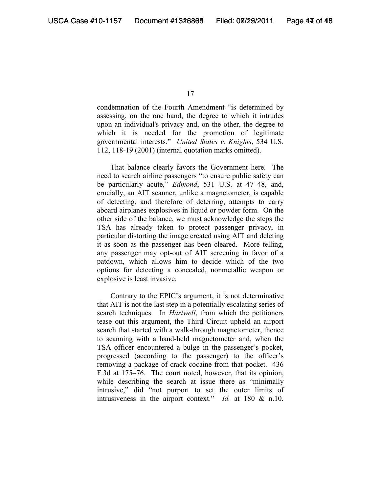condemnation of the Fourth Amendment "is determined by assessing, on the one hand, the degree to which it intrudes upon an individual's privacy and, on the other, the degree to which it is needed for the promotion of legitimate governmental interests." *United States v. Knights*, 534 U.S. 112, 118-19 (2001) (internal quotation marks omitted).

That balance clearly favors the Government here. The need to search airline passengers "to ensure public safety can be particularly acute," *Edmond*, 531 U.S. at 47–48, and, crucially, an AIT scanner, unlike a magnetometer, is capable of detecting, and therefore of deterring, attempts to carry aboard airplanes explosives in liquid or powder form. On the other side of the balance, we must acknowledge the steps the TSA has already taken to protect passenger privacy, in particular distorting the image created using AIT and deleting it as soon as the passenger has been cleared. More telling, any passenger may opt-out of AIT screening in favor of a patdown, which allows him to decide which of the two options for detecting a concealed, nonmetallic weapon or explosive is least invasive.

Contrary to the EPIC's argument, it is not determinative that AIT is not the last step in a potentially escalating series of search techniques. In *Hartwell*, from which the petitioners tease out this argument, the Third Circuit upheld an airport search that started with a walk-through magnetometer, thence to scanning with a hand-held magnetometer and, when the TSA officer encountered a bulge in the passenger's pocket, progressed (according to the passenger) to the officer's removing a package of crack cocaine from that pocket. 436 F.3d at 175–76. The court noted, however, that its opinion, while describing the search at issue there as "minimally intrusive," did "not purport to set the outer limits of intrusiveness in the airport context." *Id.* at 180 & n.10.